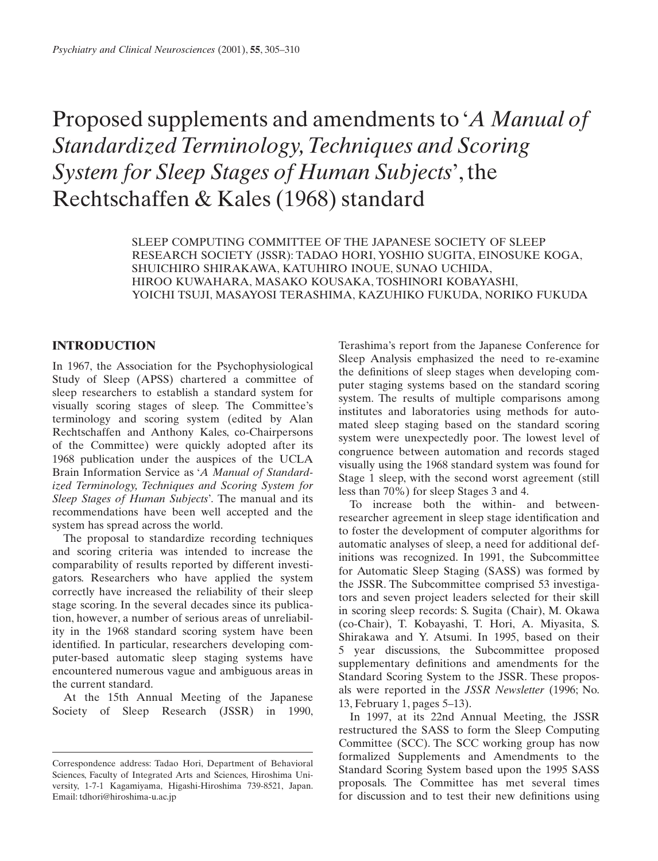# Proposed supplements and amendments to '*A Manual of Standardized Terminology,Techniques and Scoring System for Sleep Stages of Human Subjects*', the Rechtschaffen & Kales (1968) standard

SLEEP COMPUTING COMMITTEE OF THE JAPANESE SOCIETY OF SLEEP RESEARCH SOCIETY (JSSR): TADAO HORI, YOSHIO SUGITA, EINOSUKE KOGA, SHUICHIRO SHIRAKAWA, KATUHIRO INOUE, SUNAO UCHIDA, HIROO KUWAHARA, MASAKO KOUSAKA, TOSHINORI KOBAYASHI, YOICHI TSUJI, MASAYOSI TERASHIMA, KAZUHIKO FUKUDA, NORIKO FUKUDA

## **INTRODUCTION**

In 1967, the Association for the Psychophysiological Study of Sleep (APSS) chartered a committee of sleep researchers to establish a standard system for visually scoring stages of sleep. The Committee's terminology and scoring system (edited by Alan Rechtschaffen and Anthony Kales, co-Chairpersons of the Committee) were quickly adopted after its 1968 publication under the auspices of the UCLA Brain Information Service as '*A Manual of Standardized Terminology, Techniques and Scoring System for Sleep Stages of Human Subjects*'*.* The manual and its recommendations have been well accepted and the system has spread across the world.

The proposal to standardize recording techniques and scoring criteria was intended to increase the comparability of results reported by different investigators. Researchers who have applied the system correctly have increased the reliability of their sleep stage scoring. In the several decades since its publication, however, a number of serious areas of unreliability in the 1968 standard scoring system have been identified. In particular, researchers developing computer-based automatic sleep staging systems have encountered numerous vague and ambiguous areas in the current standard.

At the 15th Annual Meeting of the Japanese Society of Sleep Research (JSSR) in 1990, Terashima's report from the Japanese Conference for Sleep Analysis emphasized the need to re-examine the definitions of sleep stages when developing computer staging systems based on the standard scoring system. The results of multiple comparisons among institutes and laboratories using methods for automated sleep staging based on the standard scoring system were unexpectedly poor. The lowest level of congruence between automation and records staged visually using the 1968 standard system was found for Stage 1 sleep, with the second worst agreement (still less than 70%) for sleep Stages 3 and 4.

To increase both the within- and betweenresearcher agreement in sleep stage identification and to foster the development of computer algorithms for automatic analyses of sleep, a need for additional definitions was recognized. In 1991, the Subcommittee for Automatic Sleep Staging (SASS) was formed by the JSSR. The Subcommittee comprised 53 investigators and seven project leaders selected for their skill in scoring sleep records: S. Sugita (Chair), M. Okawa (co-Chair), T. Kobayashi, T. Hori, A. Miyasita, S. Shirakawa and Y. Atsumi. In 1995, based on their 5 year discussions, the Subcommittee proposed supplementary definitions and amendments for the Standard Scoring System to the JSSR. These proposals were reported in the *JSSR Newsletter* (1996; No. 13, February 1, pages 5–13).

In 1997, at its 22nd Annual Meeting, the JSSR restructured the SASS to form the Sleep Computing Committee (SCC). The SCC working group has now formalized Supplements and Amendments to the Standard Scoring System based upon the 1995 SASS proposals. The Committee has met several times for discussion and to test their new definitions using

Correspondence address: Tadao Hori, Department of Behavioral Sciences, Faculty of Integrated Arts and Sciences, Hiroshima University, 1-7-1 Kagamiyama, Higashi-Hiroshima 739-8521, Japan. Email: tdhori@hiroshima-u.ac.jp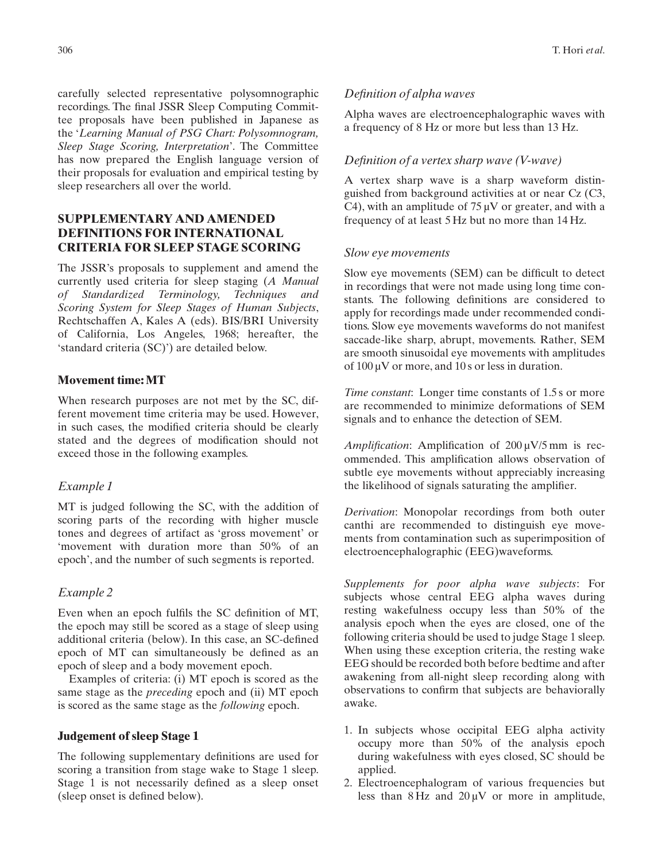carefully selected representative polysomnographic recordings. The final JSSR Sleep Computing Committee proposals have been published in Japanese as the '*Learning Manual of PSG Chart: Polysomnogram, Sleep Stage Scoring, Interpretation*'. The Committee has now prepared the English language version of their proposals for evaluation and empirical testing by sleep researchers all over the world.

# **SUPPLEMENTARY AND AMENDED DEFINITIONS FOR INTERNATIONAL CRITERIA FOR SLEEP STAGE SCORING**

The JSSR's proposals to supplement and amend the currently used criteria for sleep staging (*A Manual of Standardized Terminology, Techniques and Scoring System for Sleep Stages of Human Subjects*, Rechtschaffen A, Kales A (eds). BIS/BRI University of California, Los Angeles, 1968; hereafter, the 'standard criteria (SC)') are detailed below.

# **Movement time: MT**

When research purposes are not met by the SC, different movement time criteria may be used. However, in such cases, the modified criteria should be clearly stated and the degrees of modification should not exceed those in the following examples.

# *Example 1*

MT is judged following the SC, with the addition of scoring parts of the recording with higher muscle tones and degrees of artifact as 'gross movement' or 'movement with duration more than 50% of an epoch', and the number of such segments is reported.

#### *Example 2*

Even when an epoch fulfils the SC definition of MT, the epoch may still be scored as a stage of sleep using additional criteria (below). In this case, an SC-defined epoch of MT can simultaneously be defined as an epoch of sleep and a body movement epoch.

Examples of criteria: (i) MT epoch is scored as the same stage as the *preceding* epoch and (ii) MT epoch is scored as the same stage as the *following* epoch.

#### **Judgement of sleep Stage 1**

The following supplementary definitions are used for scoring a transition from stage wake to Stage 1 sleep. Stage 1 is not necessarily defined as a sleep onset (sleep onset is defined below).

#### *Definition of alpha waves*

Alpha waves are electroencephalographic waves with a frequency of 8 Hz or more but less than 13 Hz.

# *Definition of a vertex sharp wave (V-wave)*

A vertex sharp wave is a sharp waveform distinguished from background activities at or near Cz (C3, C4), with an amplitude of  $75 \mu$ V or greater, and with a frequency of at least 5 Hz but no more than 14 Hz.

## *Slow eye movements*

Slow eye movements (SEM) can be difficult to detect in recordings that were not made using long time constants. The following definitions are considered to apply for recordings made under recommended conditions. Slow eye movements waveforms do not manifest saccade-like sharp, abrupt, movements. Rather, SEM are smooth sinusoidal eye movements with amplitudes of  $100 \mu V$  or more, and  $10 s$  or less in duration.

*Time constant:* Longer time constants of 1.5 s or more are recommended to minimize deformations of SEM signals and to enhance the detection of SEM.

*Amplification*: Amplification of 200 µV/5 mm is recommended. This amplification allows observation of subtle eye movements without appreciably increasing the likelihood of signals saturating the amplifier.

*Derivation*: Monopolar recordings from both outer canthi are recommended to distinguish eye movements from contamination such as superimposition of electroencephalographic (EEG)waveforms.

*Supplements for poor alpha wave subjects*: For subjects whose central EEG alpha waves during resting wakefulness occupy less than 50% of the analysis epoch when the eyes are closed, one of the following criteria should be used to judge Stage 1 sleep. When using these exception criteria, the resting wake EEG should be recorded both before bedtime and after awakening from all-night sleep recording along with observations to confirm that subjects are behaviorally awake.

- 1. In subjects whose occipital EEG alpha activity occupy more than 50% of the analysis epoch during wakefulness with eyes closed, SC should be applied.
- 2. Electroencephalogram of various frequencies but less than  $8$  Hz and  $20 \mu$ V or more in amplitude,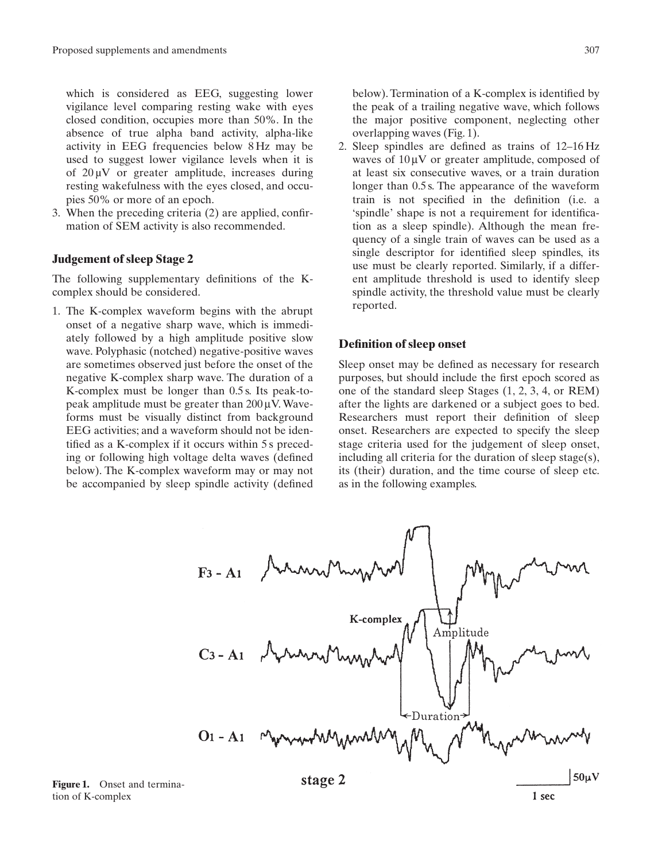which is considered as EEG, suggesting lower vigilance level comparing resting wake with eyes closed condition, occupies more than 50%. In the absence of true alpha band activity, alpha-like activity in EEG frequencies below 8 Hz may be used to suggest lower vigilance levels when it is of  $20 \mu V$  or greater amplitude, increases during resting wakefulness with the eyes closed, and occupies 50% or more of an epoch.

3. When the preceding criteria (2) are applied, confirmation of SEM activity is also recommended.

#### **Judgement of sleep Stage 2**

The following supplementary definitions of the Kcomplex should be considered.

1. The K-complex waveform begins with the abrupt onset of a negative sharp wave, which is immediately followed by a high amplitude positive slow wave. Polyphasic (notched) negative-positive waves are sometimes observed just before the onset of the negative K-complex sharp wave. The duration of a K-complex must be longer than 0.5 s. Its peak-topeak amplitude must be greater than  $200 \mu V$ . Waveforms must be visually distinct from background EEG activities; and a waveform should not be identified as a K-complex if it occurs within 5 s preceding or following high voltage delta waves (defined below). The K-complex waveform may or may not be accompanied by sleep spindle activity (defined

below). Termination of a K-complex is identified by the peak of a trailing negative wave, which follows the major positive component, neglecting other overlapping waves (Fig. 1).

2. Sleep spindles are defined as trains of 12–16 Hz waves of  $10 \mu V$  or greater amplitude, composed of at least six consecutive waves, or a train duration longer than 0.5 s. The appearance of the waveform train is not specified in the definition (i.e. a 'spindle' shape is not a requirement for identification as a sleep spindle). Although the mean frequency of a single train of waves can be used as a single descriptor for identified sleep spindles, its use must be clearly reported. Similarly, if a different amplitude threshold is used to identify sleep spindle activity, the threshold value must be clearly reported.

#### **Definition of sleep onset**

Sleep onset may be defined as necessary for research purposes, but should include the first epoch scored as one of the standard sleep Stages (1, 2, 3, 4, or REM) after the lights are darkened or a subject goes to bed. Researchers must report their definition of sleep onset. Researchers are expected to specify the sleep stage criteria used for the judgement of sleep onset, including all criteria for the duration of sleep stage(s), its (their) duration, and the time course of sleep etc. as in the following examples.



**Figure 1.** Onset and termination of K-complex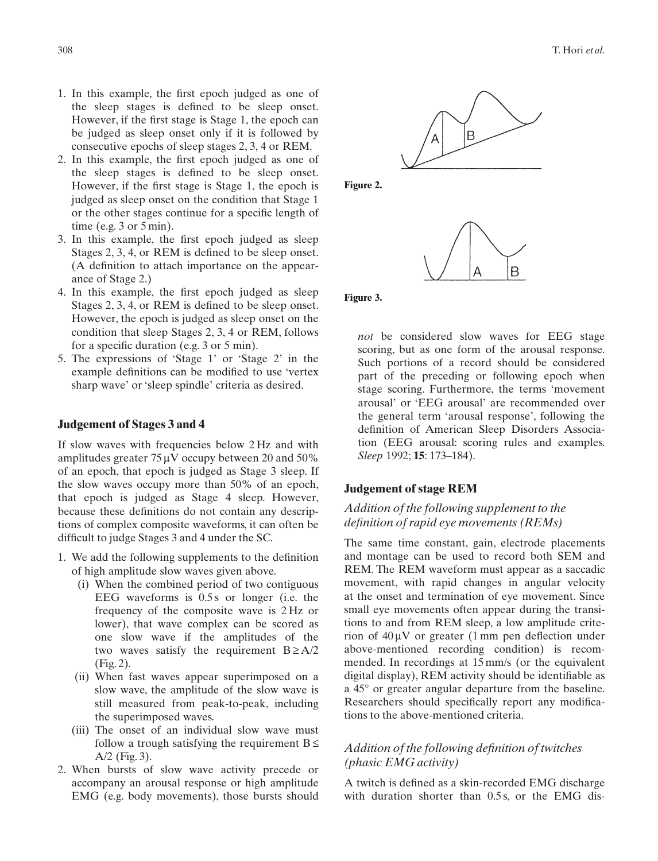- 1. In this example, the first epoch judged as one of the sleep stages is defined to be sleep onset. However, if the first stage is Stage 1, the epoch can be judged as sleep onset only if it is followed by consecutive epochs of sleep stages 2, 3, 4 or REM.
- 2. In this example, the first epoch judged as one of the sleep stages is defined to be sleep onset. However, if the first stage is Stage 1, the epoch is judged as sleep onset on the condition that Stage 1 or the other stages continue for a specific length of time (e.g.  $3$  or  $5$  min).
- 3. In this example, the first epoch judged as sleep Stages 2, 3, 4, or REM is defined to be sleep onset. (A definition to attach importance on the appearance of Stage 2.)
- 4. In this example, the first epoch judged as sleep Stages 2, 3, 4, or REM is defined to be sleep onset. However, the epoch is judged as sleep onset on the condition that sleep Stages 2, 3, 4 or REM, follows for a specific duration (e.g. 3 or 5 min).
- 5. The expressions of 'Stage 1' or 'Stage 2' in the example definitions can be modified to use 'vertex sharp wave' or 'sleep spindle' criteria as desired.

#### **Judgement of Stages 3 and 4**

If slow waves with frequencies below 2 Hz and with amplitudes greater  $75 \mu V$  occupy between 20 and 50% of an epoch, that epoch is judged as Stage 3 sleep. If the slow waves occupy more than 50% of an epoch, that epoch is judged as Stage 4 sleep. However, because these definitions do not contain any descriptions of complex composite waveforms, it can often be difficult to judge Stages 3 and 4 under the SC.

- 1. We add the following supplements to the definition of high amplitude slow waves given above.
	- (i) When the combined period of two contiguous EEG waveforms is 0.5 s or longer (i.e. the frequency of the composite wave is 2 Hz or lower), that wave complex can be scored as one slow wave if the amplitudes of the two waves satisfy the requirement  $B \geq A/2$ (Fig. 2).
	- (ii) When fast waves appear superimposed on a slow wave, the amplitude of the slow wave is still measured from peak-to-peak, including the superimposed waves.
	- (iii) The onset of an individual slow wave must follow a trough satisfying the requirement  $B \leq$ A/2 (Fig. 3).
- 2. When bursts of slow wave activity precede or accompany an arousal response or high amplitude EMG (e.g. body movements), those bursts should



**Figure 2.**



**Figure 3.**

*not* be considered slow waves for EEG stage scoring, but as one form of the arousal response. Such portions of a record should be considered part of the preceding or following epoch when stage scoring. Furthermore, the terms 'movement arousal' or 'EEG arousal' are recommended over the general term 'arousal response', following the definition of American Sleep Disorders Association (EEG arousal: scoring rules and examples. *Sleep* 1992; **15**: 173–184).

#### **Judgement of stage REM**

# *Addition of the following supplement to the definition of rapid eye movements (REMs)*

The same time constant, gain, electrode placements and montage can be used to record both SEM and REM. The REM waveform must appear as a saccadic movement, with rapid changes in angular velocity at the onset and termination of eye movement. Since small eye movements often appear during the transitions to and from REM sleep, a low amplitude criterion of  $40 \mu V$  or greater (1 mm pen deflection under above-mentioned recording condition) is recommended. In recordings at 15 mm/s (or the equivalent digital display), REM activity should be identifiable as a 45° or greater angular departure from the baseline. Researchers should specifically report any modifications to the above-mentioned criteria.

## *Addition of the following definition of twitches (phasic EMG activity)*

A twitch is defined as a skin-recorded EMG discharge with duration shorter than 0.5 s, or the EMG dis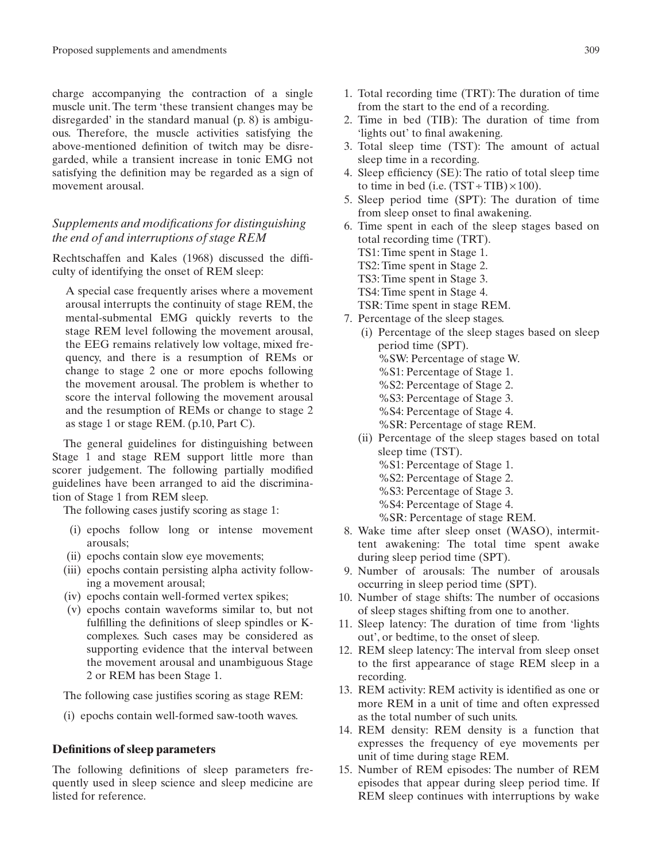charge accompanying the contraction of a single muscle unit. The term 'these transient changes may be disregarded' in the standard manual (p. 8) is ambiguous. Therefore, the muscle activities satisfying the above-mentioned definition of twitch may be disregarded, while a transient increase in tonic EMG not satisfying the definition may be regarded as a sign of movement arousal.

# *Supplements and modifications for distinguishing the end of and interruptions of stage REM*

Rechtschaffen and Kales (1968) discussed the difficulty of identifying the onset of REM sleep:

A special case frequently arises where a movement arousal interrupts the continuity of stage REM, the mental-submental EMG quickly reverts to the stage REM level following the movement arousal, the EEG remains relatively low voltage, mixed frequency, and there is a resumption of REMs or change to stage 2 one or more epochs following the movement arousal. The problem is whether to score the interval following the movement arousal and the resumption of REMs or change to stage 2 as stage 1 or stage REM. (p.10, Part C).

The general guidelines for distinguishing between Stage 1 and stage REM support little more than scorer judgement. The following partially modified guidelines have been arranged to aid the discrimination of Stage 1 from REM sleep.

The following cases justify scoring as stage 1:

- (i) epochs follow long or intense movement arousals;
- (ii) epochs contain slow eye movements;
- (iii) epochs contain persisting alpha activity following a movement arousal;
- (iv) epochs contain well-formed vertex spikes;
- (v) epochs contain waveforms similar to, but not fulfilling the definitions of sleep spindles or Kcomplexes. Such cases may be considered as supporting evidence that the interval between the movement arousal and unambiguous Stage 2 or REM has been Stage 1.

The following case justifies scoring as stage REM:

(i) epochs contain well-formed saw-tooth waves.

#### **Definitions of sleep parameters**

The following definitions of sleep parameters frequently used in sleep science and sleep medicine are listed for reference.

- 1. Total recording time (TRT): The duration of time from the start to the end of a recording.
- 2. Time in bed (TIB): The duration of time from 'lights out' to final awakening.
- 3. Total sleep time (TST): The amount of actual sleep time in a recording.
- 4. Sleep efficiency (SE): The ratio of total sleep time to time in bed (i.e.  $(TST + TIB) \times 100$ ).
- 5. Sleep period time (SPT): The duration of time from sleep onset to final awakening.
- 6. Time spent in each of the sleep stages based on total recording time (TRT). TS1: Time spent in Stage 1. TS2: Time spent in Stage 2. TS3: Time spent in Stage 3. TS4: Time spent in Stage 4. TSR: Time spent in stage REM. 7. Percentage of the sleep stages.
	- (i) Percentage of the sleep stages based on sleep period time (SPT). %SW: Percentage of stage W. %S1: Percentage of Stage 1. %S2: Percentage of Stage 2. %S3: Percentage of Stage 3. %S4: Percentage of Stage 4. %SR: Percentage of stage REM.
	- (ii) Percentage of the sleep stages based on total sleep time (TST). %S1: Percentage of Stage 1. %S2: Percentage of Stage 2.
		- %S3: Percentage of Stage 3.
		- %S4: Percentage of Stage 4.
		- %SR: Percentage of stage REM.
- 8. Wake time after sleep onset (WASO), intermittent awakening: The total time spent awake during sleep period time (SPT).
- 9. Number of arousals: The number of arousals occurring in sleep period time (SPT).
- 10. Number of stage shifts: The number of occasions of sleep stages shifting from one to another.
- 11. Sleep latency: The duration of time from 'lights out', or bedtime, to the onset of sleep.
- 12. REM sleep latency: The interval from sleep onset to the first appearance of stage REM sleep in a recording.
- 13. REM activity: REM activity is identified as one or more REM in a unit of time and often expressed as the total number of such units.
- 14. REM density: REM density is a function that expresses the frequency of eye movements per unit of time during stage REM.
- 15. Number of REM episodes: The number of REM episodes that appear during sleep period time. If REM sleep continues with interruptions by wake